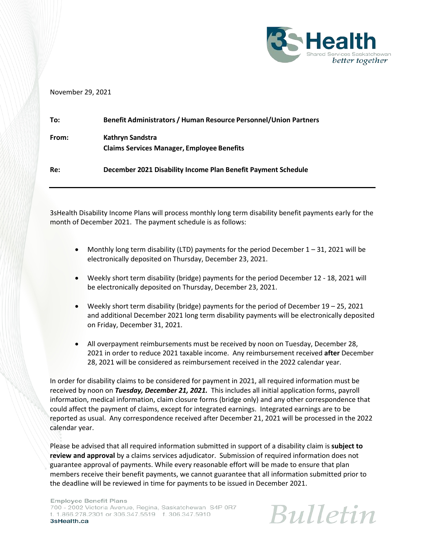

## November 29, 2021

| To:   | <b>Benefit Administrators / Human Resource Personnel/Union Partners</b> |
|-------|-------------------------------------------------------------------------|
| From: | Kathryn Sandstra<br><b>Claims Services Manager, Employee Benefits</b>   |
| Re:   | December 2021 Disability Income Plan Benefit Payment Schedule           |

3sHealth Disability Income Plans will process monthly long term disability benefit payments early for the month of December 2021. The payment schedule is as follows:

- Monthly long term disability (LTD) payments for the period December 1 31, 2021 will be electronically deposited on Thursday, December 23, 2021.
- Weekly short term disability (bridge) payments for the period December 12 18, 2021 will be electronically deposited on Thursday, December 23, 2021.
- Weekly short term disability (bridge) payments for the period of December 19 25, 2021 and additional December 2021 long term disability payments will be electronically deposited on Friday, December 31, 2021.
- All overpayment reimbursements must be received by noon on Tuesday, December 28, 2021 in order to reduce 2021 taxable income. Any reimbursement received **after** December 28, 2021 will be considered as reimbursement received in the 2022 calendar year.

In order for disability claims to be considered for payment in 2021, all required information must be received by noon on *Tuesday, December 21, 2021.* This includes all initial application forms, payroll information, medical information, claim closure forms (bridge only) and any other correspondence that could affect the payment of claims, except for integrated earnings. Integrated earnings are to be reported as usual. Any correspondence received after December 21, 2021 will be processed in the 2022 calendar year.

Please be advised that all required information submitted in support of a disability claim is **subject to review and approval** by a claims services adjudicator. Submission of required information does not guarantee approval of payments. While every reasonable effort will be made to ensure that plan members receive their benefit payments, we cannot guarantee that all information submitted prior to the deadline will be reviewed in time for payments to be issued in December 2021.

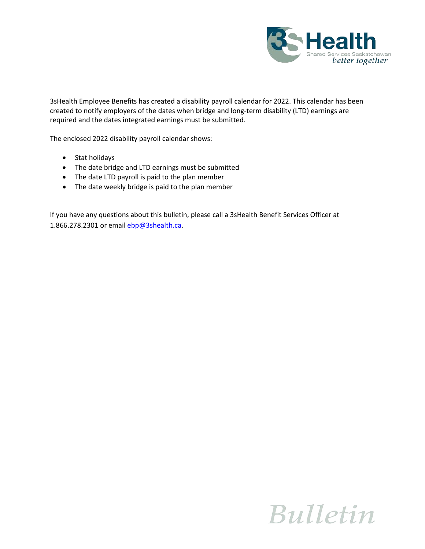

3sHealth Employee Benefits has created a disability payroll calendar for 2022. This calendar has been created to notify employers of the dates when bridge and long-term disability (LTD) earnings are required and the dates integrated earnings must be submitted.

The enclosed 2022 disability payroll calendar shows:

- Stat holidays
- The date bridge and LTD earnings must be submitted
- The date LTD payroll is paid to the plan member
- The date weekly bridge is paid to the plan member

If you have any questions about this bulletin, please call a 3sHealth Benefit Services Officer at 1.866.278.2301 or emai[l ebp@3shealth.ca.](mailto:ebp@3shealth.ca)